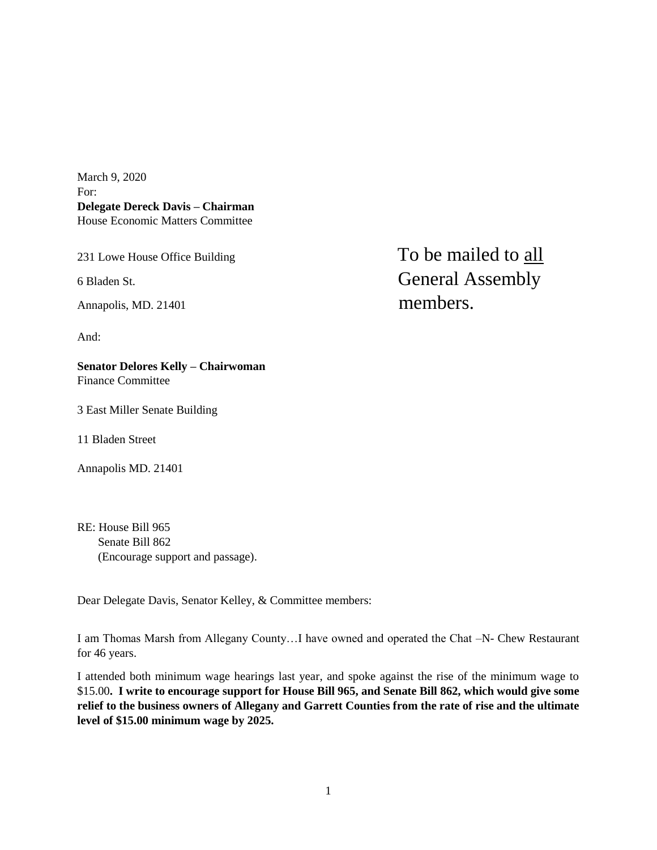March 9, 2020 For: **Delegate Dereck Davis – Chairman** House Economic Matters Committee

And:

**Senator Delores Kelly – Chairwoman** Finance Committee

3 East Miller Senate Building

11 Bladen Street

Annapolis MD. 21401

RE: House Bill 965 Senate Bill 862 (Encourage support and passage).

Dear Delegate Davis, Senator Kelley, & Committee members:

I am Thomas Marsh from Allegany County…I have owned and operated the Chat –N- Chew Restaurant for 46 years.

I attended both minimum wage hearings last year, and spoke against the rise of the minimum wage to \$15.00**. I write to encourage support for House Bill 965, and Senate Bill 862, which would give some relief to the business owners of Allegany and Garrett Counties from the rate of rise and the ultimate level of \$15.00 minimum wage by 2025.**

231 Lowe House Office Building To be mailed to all 6 Bladen St. General Assembly Annapolis, MD. 21401 members.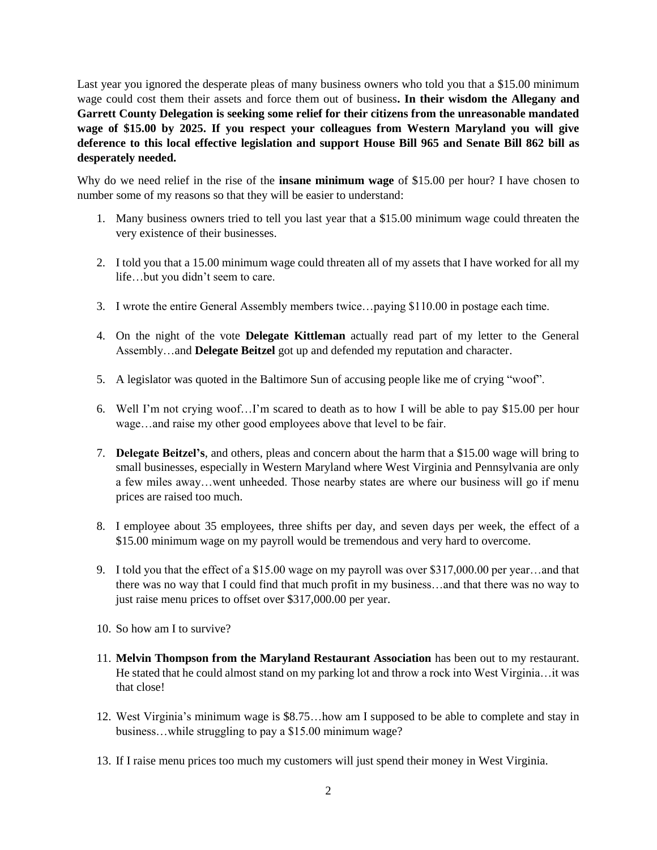Last year you ignored the desperate pleas of many business owners who told you that a \$15.00 minimum wage could cost them their assets and force them out of business**. In their wisdom the Allegany and Garrett County Delegation is seeking some relief for their citizens from the unreasonable mandated wage of \$15.00 by 2025. If you respect your colleagues from Western Maryland you will give deference to this local effective legislation and support House Bill 965 and Senate Bill 862 bill as desperately needed.** 

Why do we need relief in the rise of the **insane minimum wage** of \$15.00 per hour? I have chosen to number some of my reasons so that they will be easier to understand:

- 1. Many business owners tried to tell you last year that a \$15.00 minimum wage could threaten the very existence of their businesses.
- 2. I told you that a 15.00 minimum wage could threaten all of my assets that I have worked for all my life…but you didn't seem to care.
- 3. I wrote the entire General Assembly members twice…paying \$110.00 in postage each time.
- 4. On the night of the vote **Delegate Kittleman** actually read part of my letter to the General Assembly…and **Delegate Beitzel** got up and defended my reputation and character.
- 5. A legislator was quoted in the Baltimore Sun of accusing people like me of crying "woof".
- 6. Well I'm not crying woof…I'm scared to death as to how I will be able to pay \$15.00 per hour wage…and raise my other good employees above that level to be fair.
- 7. **Delegate Beitzel's**, and others, pleas and concern about the harm that a \$15.00 wage will bring to small businesses, especially in Western Maryland where West Virginia and Pennsylvania are only a few miles away…went unheeded. Those nearby states are where our business will go if menu prices are raised too much.
- 8. I employee about 35 employees, three shifts per day, and seven days per week, the effect of a \$15.00 minimum wage on my payroll would be tremendous and very hard to overcome.
- 9. I told you that the effect of a \$15.00 wage on my payroll was over \$317,000.00 per year…and that there was no way that I could find that much profit in my business…and that there was no way to just raise menu prices to offset over \$317,000.00 per year.
- 10. So how am I to survive?
- 11. **Melvin Thompson from the Maryland Restaurant Association** has been out to my restaurant. He stated that he could almost stand on my parking lot and throw a rock into West Virginia…it was that close!
- 12. West Virginia's minimum wage is \$8.75…how am I supposed to be able to complete and stay in business…while struggling to pay a \$15.00 minimum wage?
- 13. If I raise menu prices too much my customers will just spend their money in West Virginia.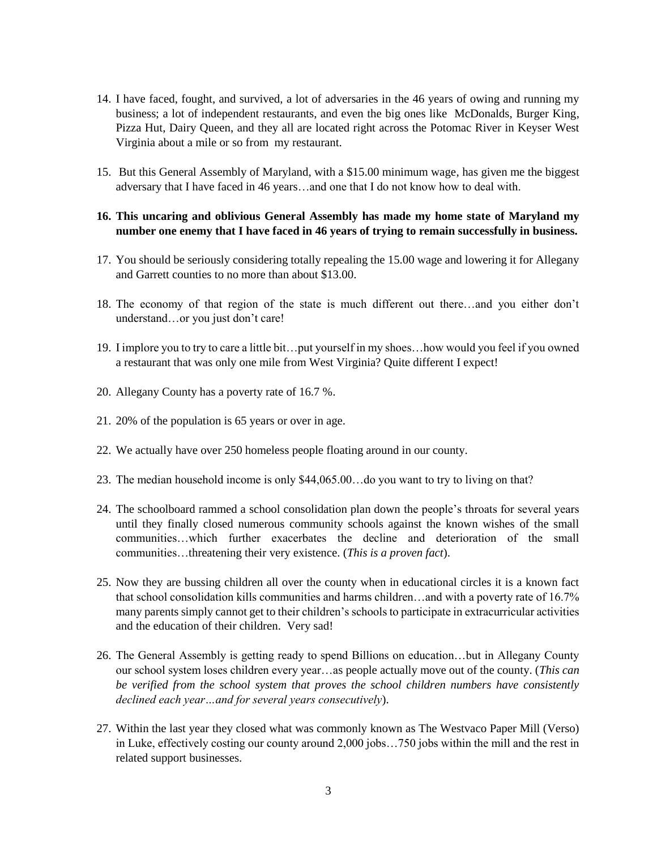- 14. I have faced, fought, and survived, a lot of adversaries in the 46 years of owing and running my business; a lot of independent restaurants, and even the big ones like McDonalds, Burger King, Pizza Hut, Dairy Queen, and they all are located right across the Potomac River in Keyser West Virginia about a mile or so from my restaurant.
- 15. But this General Assembly of Maryland, with a \$15.00 minimum wage, has given me the biggest adversary that I have faced in 46 years…and one that I do not know how to deal with.

# **16. This uncaring and oblivious General Assembly has made my home state of Maryland my number one enemy that I have faced in 46 years of trying to remain successfully in business.**

- 17. You should be seriously considering totally repealing the 15.00 wage and lowering it for Allegany and Garrett counties to no more than about \$13.00.
- 18. The economy of that region of the state is much different out there…and you either don't understand…or you just don't care!
- 19. I implore you to try to care a little bit…put yourself in my shoes…how would you feel if you owned a restaurant that was only one mile from West Virginia? Quite different I expect!
- 20. Allegany County has a poverty rate of 16.7 %.
- 21. 20% of the population is 65 years or over in age.
- 22. We actually have over 250 homeless people floating around in our county.
- 23. The median household income is only \$44,065.00…do you want to try to living on that?
- 24. The schoolboard rammed a school consolidation plan down the people's throats for several years until they finally closed numerous community schools against the known wishes of the small communities…which further exacerbates the decline and deterioration of the small communities…threatening their very existence. (*This is a proven fact*).
- 25. Now they are bussing children all over the county when in educational circles it is a known fact that school consolidation kills communities and harms children…and with a poverty rate of 16.7% many parents simply cannot get to their children's schools to participate in extracurricular activities and the education of their children. Very sad!
- 26. The General Assembly is getting ready to spend Billions on education…but in Allegany County our school system loses children every year…as people actually move out of the county. (*This can be verified from the school system that proves the school children numbers have consistently declined each year…and for several years consecutively*).
- 27. Within the last year they closed what was commonly known as The Westvaco Paper Mill (Verso) in Luke, effectively costing our county around 2,000 jobs…750 jobs within the mill and the rest in related support businesses.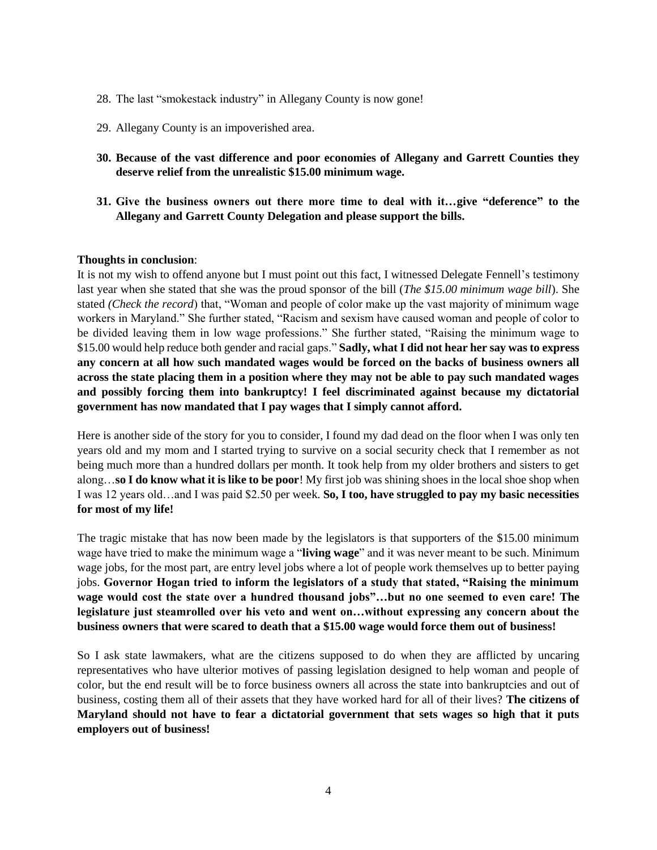- 28. The last "smokestack industry" in Allegany County is now gone!
- 29. Allegany County is an impoverished area.
- **30. Because of the vast difference and poor economies of Allegany and Garrett Counties they deserve relief from the unrealistic \$15.00 minimum wage.**
- **31. Give the business owners out there more time to deal with it…give "deference" to the Allegany and Garrett County Delegation and please support the bills.**

#### **Thoughts in conclusion**:

It is not my wish to offend anyone but I must point out this fact, I witnessed Delegate Fennell's testimony last year when she stated that she was the proud sponsor of the bill (*The \$15.00 minimum wage bill*). She stated *(Check the record*) that, "Woman and people of color make up the vast majority of minimum wage workers in Maryland." She further stated, "Racism and sexism have caused woman and people of color to be divided leaving them in low wage professions." She further stated, "Raising the minimum wage to \$15.00 would help reduce both gender and racial gaps." **Sadly, what I did not hear her say was to express any concern at all how such mandated wages would be forced on the backs of business owners all across the state placing them in a position where they may not be able to pay such mandated wages and possibly forcing them into bankruptcy! I feel discriminated against because my dictatorial government has now mandated that I pay wages that I simply cannot afford.**

Here is another side of the story for you to consider, I found my dad dead on the floor when I was only ten years old and my mom and I started trying to survive on a social security check that I remember as not being much more than a hundred dollars per month. It took help from my older brothers and sisters to get along…**so I do know what it is like to be poor**! My first job was shining shoes in the local shoe shop when I was 12 years old…and I was paid \$2.50 per week. **So, I too, have struggled to pay my basic necessities for most of my life!**

The tragic mistake that has now been made by the legislators is that supporters of the \$15.00 minimum wage have tried to make the minimum wage a "**living wage**" and it was never meant to be such. Minimum wage jobs, for the most part, are entry level jobs where a lot of people work themselves up to better paying jobs. **Governor Hogan tried to inform the legislators of a study that stated, "Raising the minimum wage would cost the state over a hundred thousand jobs"…but no one seemed to even care! The legislature just steamrolled over his veto and went on…without expressing any concern about the business owners that were scared to death that a \$15.00 wage would force them out of business!**

So I ask state lawmakers, what are the citizens supposed to do when they are afflicted by uncaring representatives who have ulterior motives of passing legislation designed to help woman and people of color, but the end result will be to force business owners all across the state into bankruptcies and out of business, costing them all of their assets that they have worked hard for all of their lives? **The citizens of Maryland should not have to fear a dictatorial government that sets wages so high that it puts employers out of business!**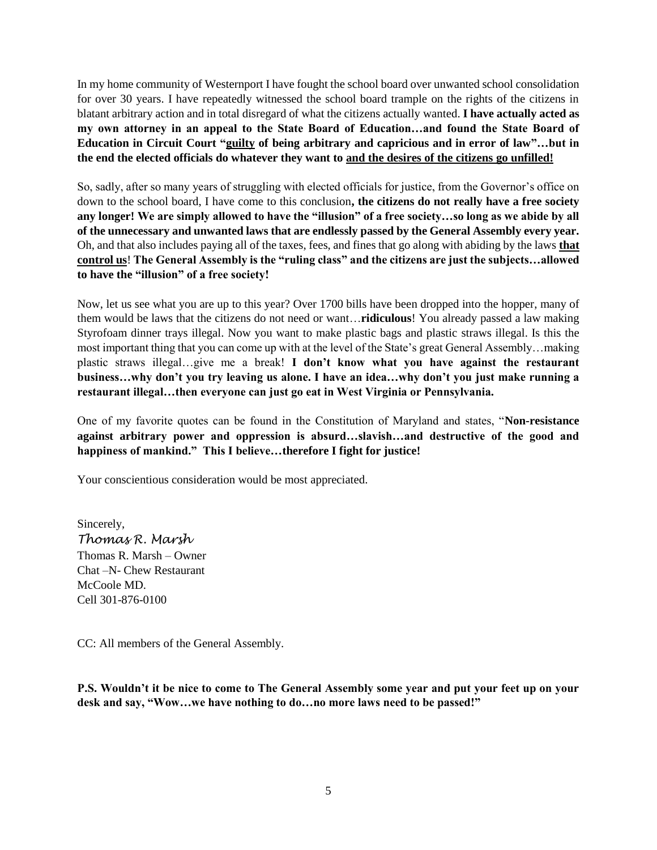In my home community of Westernport I have fought the school board over unwanted school consolidation for over 30 years. I have repeatedly witnessed the school board trample on the rights of the citizens in blatant arbitrary action and in total disregard of what the citizens actually wanted. **I have actually acted as my own attorney in an appeal to the State Board of Education…and found the State Board of Education in Circuit Court "guilty of being arbitrary and capricious and in error of law"…but in the end the elected officials do whatever they want to and the desires of the citizens go unfilled!**

So, sadly, after so many years of struggling with elected officials for justice, from the Governor's office on down to the school board, I have come to this conclusion**, the citizens do not really have a free society any longer! We are simply allowed to have the "illusion" of a free society…so long as we abide by all of the unnecessary and unwanted laws that are endlessly passed by the General Assembly every year.** Oh, and that also includes paying all of the taxes, fees, and fines that go along with abiding by the laws **that control us**! **The General Assembly is the "ruling class" and the citizens are just the subjects…allowed to have the "illusion" of a free society!**

Now, let us see what you are up to this year? Over 1700 bills have been dropped into the hopper, many of them would be laws that the citizens do not need or want…**ridiculous**! You already passed a law making Styrofoam dinner trays illegal. Now you want to make plastic bags and plastic straws illegal. Is this the most important thing that you can come up with at the level of the State's great General Assembly…making plastic straws illegal…give me a break! **I don't know what you have against the restaurant business…why don't you try leaving us alone. I have an idea…why don't you just make running a restaurant illegal…then everyone can just go eat in West Virginia or Pennsylvania.**

One of my favorite quotes can be found in the Constitution of Maryland and states, "**Non-resistance against arbitrary power and oppression is absurd…slavish…and destructive of the good and happiness of mankind." This I believe…therefore I fight for justice!**

Your conscientious consideration would be most appreciated.

Sincerely, *Thomas R. Marsh* Thomas R. Marsh – Owner Chat –N- Chew Restaurant McCoole MD. Cell 301-876-0100

CC: All members of the General Assembly.

**P.S. Wouldn't it be nice to come to The General Assembly some year and put your feet up on your desk and say, "Wow…we have nothing to do…no more laws need to be passed!"**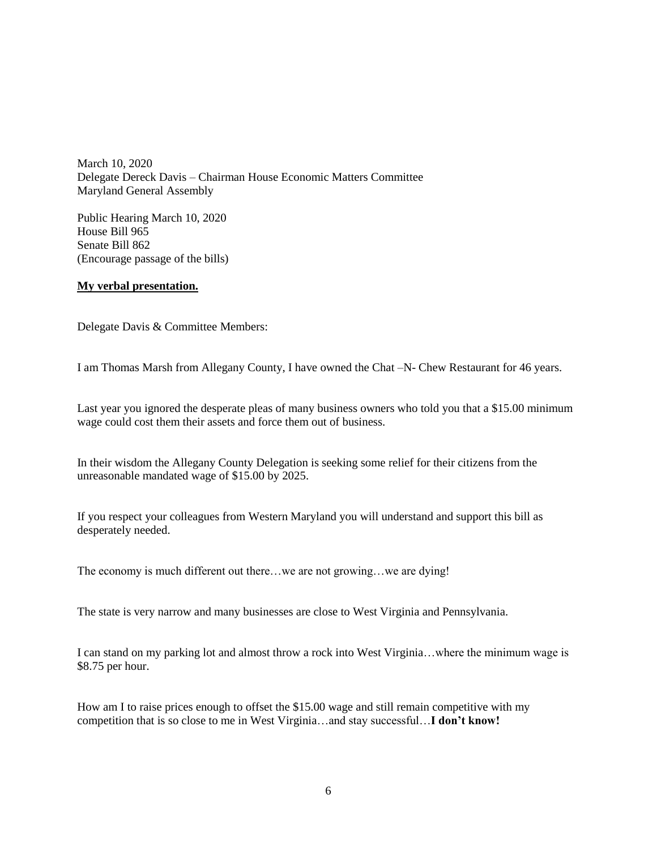March 10, 2020 Delegate Dereck Davis – Chairman House Economic Matters Committee Maryland General Assembly

Public Hearing March 10, 2020 House Bill 965 Senate Bill 862 (Encourage passage of the bills)

# **My verbal presentation.**

Delegate Davis & Committee Members:

I am Thomas Marsh from Allegany County, I have owned the Chat –N- Chew Restaurant for 46 years.

Last year you ignored the desperate pleas of many business owners who told you that a \$15.00 minimum wage could cost them their assets and force them out of business.

In their wisdom the Allegany County Delegation is seeking some relief for their citizens from the unreasonable mandated wage of \$15.00 by 2025.

If you respect your colleagues from Western Maryland you will understand and support this bill as desperately needed.

The economy is much different out there…we are not growing…we are dying!

The state is very narrow and many businesses are close to West Virginia and Pennsylvania.

I can stand on my parking lot and almost throw a rock into West Virginia…where the minimum wage is \$8.75 per hour.

How am I to raise prices enough to offset the \$15.00 wage and still remain competitive with my competition that is so close to me in West Virginia…and stay successful…**I don't know!**